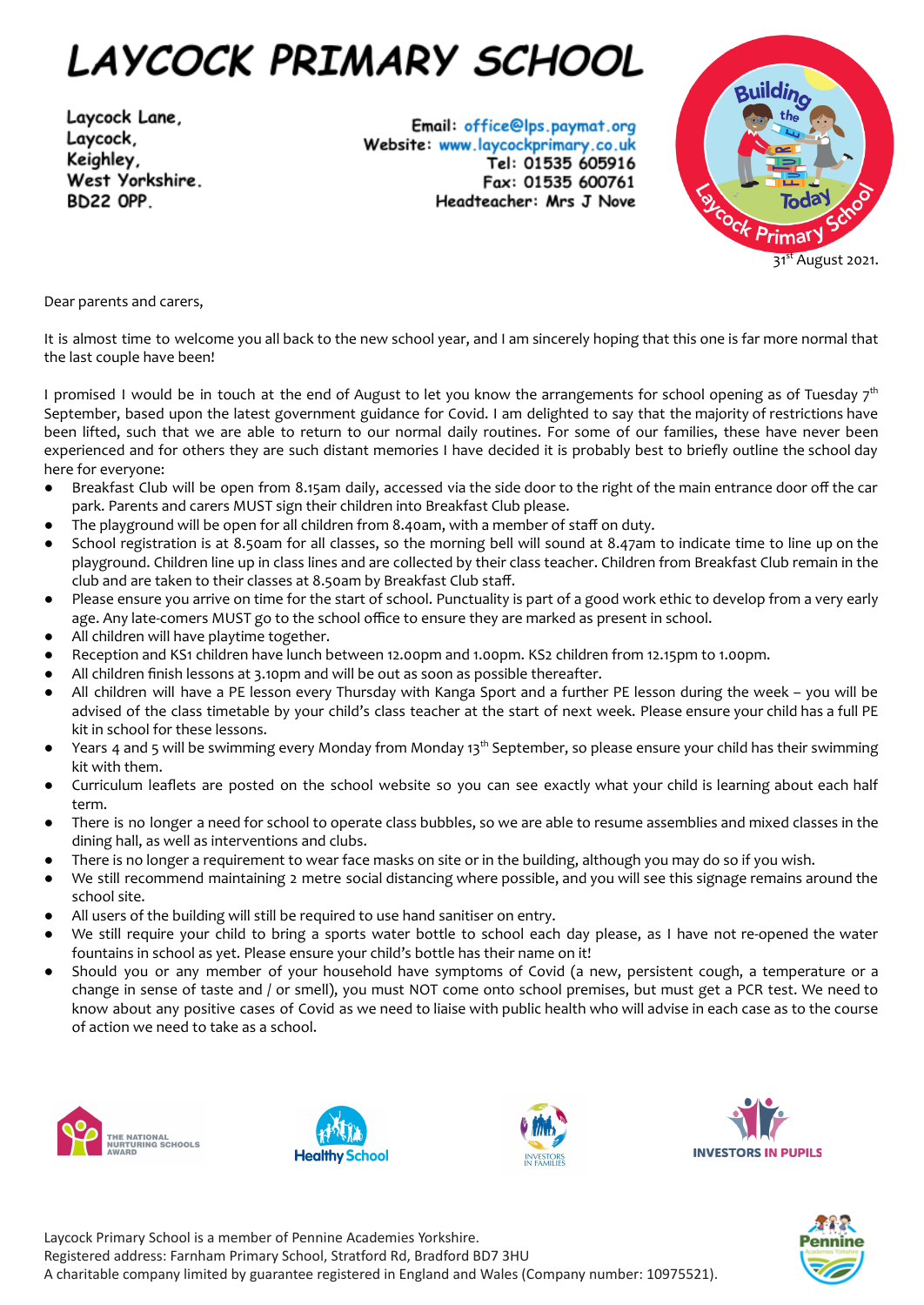## LAYCOCK PRIMARY SCHOOL

Laycock Lane, Laycock, Keighley, West Yorkshire. **BD22 OPP** 

Email: office@lps.paymat.org Website: www.laycockprimary.co.uk Tel: 01535 605916 Fax: 01535 600761 Headteacher: Mrs J Nove



Dear parents and carers,

It is almost time to welcome you all back to the new school year, and I am sincerely hoping that this one is far more normal that the last couple have been!

I promised I would be in touch at the end of August to let you know the arrangements for school opening as of Tuesday  $7^{\rm th}$ September, based upon the latest government guidance for Covid. I am delighted to say that the majority of restrictions have been lifted, such that we are able to return to our normal daily routines. For some of our families, these have never been experienced and for others they are such distant memories I have decided it is probably best to briefly outline the school day here for everyone:

- Breakfast Club will be open from 8.15am daily, accessed via the side door to the right of the main entrance door off the car park. Parents and carers MUST sign their children into Breakfast Club please.
- The playground will be open for all children from 8.40am, with a member of staff on duty.
- School registration is at 8.50am for all classes, so the morning bell will sound at 8.47am to indicate time to line up on the playground. Children line up in class lines and are collected by their class teacher. Children from Breakfast Club remain in the club and are taken to their classes at 8.50am by Breakfast Club staff.
- Please ensure you arrive on time for the start of school. Punctuality is part of a good work ethic to develop from a very early age. Any late-comers MUST go to the school office to ensure they are marked as present in school.
- All children will have playtime together.
- Reception and KS1 children have lunch between 12.00pm and 1.00pm. KS2 children from 12.15pm to 1.00pm.
- All children finish lessons at 3.10pm and will be out as soon as possible thereafter.
- All children will have a PE lesson every Thursday with Kanga Sport and a further PE lesson during the week you will be advised of the class timetable by your child's class teacher at the start of next week. Please ensure your child has a full PE kit in school for these lessons.
- Years 4 and 5 will be swimming every Monday from Monday 13<sup>th</sup> September, so please ensure your child has their swimming kit with them.
- Curriculum leaflets are posted on the school website so you can see exactly what your child is learning about each half term.
- There is no longer a need for school to operate class bubbles, so we are able to resume assemblies and mixed classes in the dining hall, as well as interventions and clubs.
- There is no longer a requirement to wear face masks on site or in the building, although you may do so if you wish.
- We still recommend maintaining 2 metre social distancing where possible, and you will see this signage remains around the school site.
- All users of the building will still be required to use hand sanitiser on entry.
- We still require your child to bring a sports water bottle to school each day please, as I have not re-opened the water fountains in school as yet. Please ensure your child's bottle has their name on it!
- Should you or any member of your household have symptoms of Covid (a new, persistent cough, a temperature or a change in sense of taste and / or smell), you must NOT come onto school premises, but must get a PCR test. We need to know about any positive cases of Covid as we need to liaise with public health who will advise in each case as to the course of action we need to take as a school.











Laycock Primary School is a member of Pennine Academies Yorkshire. Registered address: Farnham Primary School, Stratford Rd, Bradford BD7 3HU A charitable company limited by guarantee registered in England and Wales (Company number: 10975521).